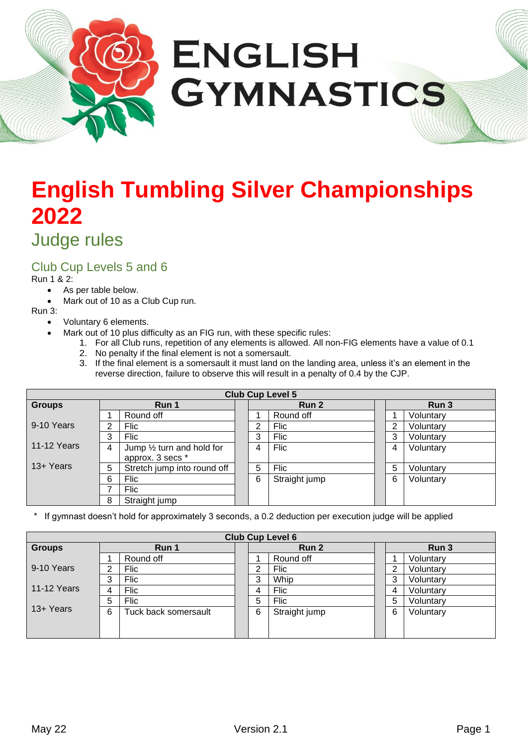

# **English Tumbling Silver Championships 2022**

# Judge rules

### Club Cup Levels 5 and 6

#### Run 1 & 2:

- As per table below.
- Mark out of 10 as a Club Cup run.

#### Run 3:

- Voluntary 6 elements.
	- Mark out of 10 plus difficulty as an FIG run, with these specific rules:
		- 1. For all Club runs, repetition of any elements is allowed. All non-FIG elements have a value of 0.1
		- 2. No penalty if the final element is not a somersault.
		- 3. If the final element is a somersault it must land on the landing area, unless it's an element in the reverse direction, failure to observe this will result in a penalty of 0.4 by the CJP.

| <b>Club Cup Level 5</b> |       |                                      |  |       |               |  |       |           |  |
|-------------------------|-------|--------------------------------------|--|-------|---------------|--|-------|-----------|--|
| <b>Groups</b>           | Run 1 |                                      |  | Run 2 |               |  | Run 3 |           |  |
|                         |       | Round off                            |  |       | Round off     |  |       | Voluntary |  |
| 9-10 Years              | ົ     | Flic                                 |  | C     | <b>Flic</b>   |  | າ     | Voluntary |  |
|                         | 3     | <b>Flic</b>                          |  | 3     | <b>Flic</b>   |  | 3     | Voluntary |  |
| <b>11-12 Years</b>      | 4     | Jump $\frac{1}{2}$ turn and hold for |  | 4     | Flic          |  | 4     | Voluntary |  |
|                         |       | approx. 3 secs *                     |  |       |               |  |       |           |  |
| 13+ Years               | 5     | Stretch jump into round off          |  | 5     | <b>Flic</b>   |  | 5     | Voluntary |  |
|                         | 6     | Flic                                 |  | 6     | Straight jump |  | 6     | Voluntary |  |
|                         |       | Flic                                 |  |       |               |  |       |           |  |
|                         | 8     | Straight jump                        |  |       |               |  |       |           |  |

If gymnast doesn't hold for approximately 3 seconds, a 0.2 deduction per execution judge will be applied

| <b>Club Cup Level 6</b> |       |                      |  |       |               |  |       |           |  |
|-------------------------|-------|----------------------|--|-------|---------------|--|-------|-----------|--|
| <b>Groups</b>           | Run 1 |                      |  | Run 2 |               |  | Run 3 |           |  |
|                         |       | Round off            |  |       | Round off     |  |       | Voluntary |  |
| 9-10 Years              | ⌒     | Flic                 |  | ົ     | Flic          |  | ◠     | Voluntary |  |
|                         | 3     | Flic                 |  | 3     | Whip          |  | 3     | Voluntary |  |
| <b>11-12 Years</b>      | 4     | Flic                 |  | 4     | <b>Flic</b>   |  | 4     | Voluntary |  |
|                         | 5     | Flic                 |  | 5     | Flic          |  | 5     | Voluntary |  |
| 13+ Years               | 6     | Tuck back somersault |  | 6     | Straight jump |  | 6     | Voluntary |  |
|                         |       |                      |  |       |               |  |       |           |  |
|                         |       |                      |  |       |               |  |       |           |  |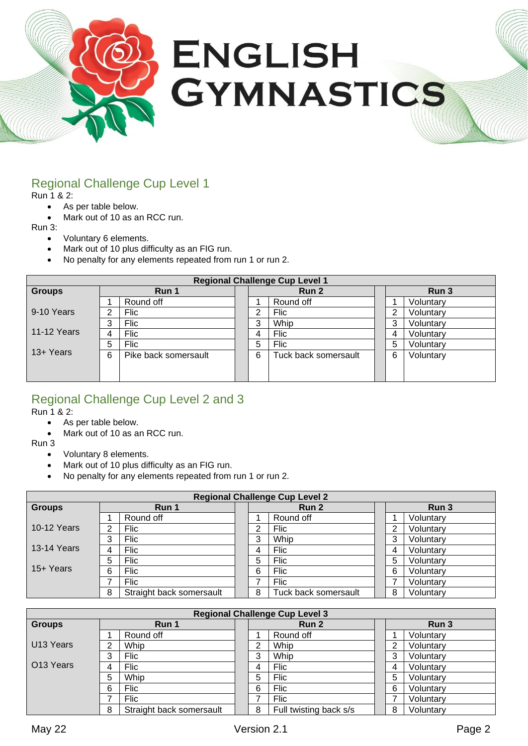

# Regional Challenge Cup Level 1

Run 1 & 2:

- As per table below.
- Mark out of 10 as an RCC run.

Run 3:

- Voluntary 6 elements.
- Mark out of 10 plus difficulty as an FIG run.
- No penalty for any elements repeated from run 1 or run 2.

| <b>Regional Challenge Cup Level 1</b> |        |                      |  |       |                      |  |       |           |  |
|---------------------------------------|--------|----------------------|--|-------|----------------------|--|-------|-----------|--|
| <b>Groups</b>                         | Run 1  |                      |  | Run 2 |                      |  | Run 3 |           |  |
|                                       |        | Round off            |  |       | Round off            |  |       | Voluntary |  |
| 9-10 Years                            | ⌒      | <b>Flic</b>          |  | ົ     | Flic                 |  | ⌒     | Voluntary |  |
|                                       | ົ<br>ت | Flic                 |  | ົ     | Whip                 |  | 3     | Voluntary |  |
| <b>11-12 Years</b>                    |        | Flic                 |  |       | Flic                 |  | 4     | Voluntary |  |
|                                       | 5      | <b>Flic</b>          |  | 5     | <b>Flic</b>          |  | 5     | Voluntary |  |
| 13+ Years                             | 6      | Pike back somersault |  | 6     | Tuck back somersault |  | 6     | Voluntary |  |
|                                       |        |                      |  |       |                      |  |       |           |  |
|                                       |        |                      |  |       |                      |  |       |           |  |

# Regional Challenge Cup Level 2 and 3

Run 1 & 2:

- As per table below.
- Mark out of 10 as an RCC run.

Run 3

- Voluntary 8 elements.
- Mark out of 10 plus difficulty as an FIG run.
- No penalty for any elements repeated from run 1 or run 2.

| <b>Regional Challenge Cup Level 2</b> |   |                          |  |   |                      |   |           |
|---------------------------------------|---|--------------------------|--|---|----------------------|---|-----------|
| <b>Groups</b>                         |   | Run 1                    |  |   | Run 2                |   | Run 3     |
|                                       |   | Round off                |  |   | Round off            |   | Voluntary |
| <b>10-12 Years</b>                    | ⌒ | <b>Flic</b>              |  | ົ | Flic                 | 2 | Voluntary |
|                                       | 3 | Flic                     |  | 3 | Whip                 | 3 | Voluntary |
| <b>13-14 Years</b>                    | 4 | <b>Flic</b>              |  | 4 | <b>Flic</b>          | 4 | Voluntary |
|                                       | 5 | Flic                     |  | 5 | Flic                 | 5 | Voluntary |
| 15+ Years                             | 6 | Flic                     |  | 6 | Flic                 | 6 | Voluntary |
|                                       | ⇁ | Flic                     |  |   | Flic                 |   | Voluntary |
|                                       | 8 | Straight back somersault |  | 8 | Tuck back somersault | 8 | Voluntary |

| <b>Regional Challenge Cup Level 3</b> |   |                          |  |   |                        |  |       |           |
|---------------------------------------|---|--------------------------|--|---|------------------------|--|-------|-----------|
| <b>Groups</b>                         |   | Run 1                    |  |   | Run 2                  |  | Run 3 |           |
|                                       |   | Round off                |  |   | Round off              |  |       | Voluntary |
| U <sub>13</sub> Years                 | າ | Whip                     |  | ົ | Whip                   |  | ⌒     | Voluntary |
|                                       | 3 | Flic                     |  | 3 | Whip                   |  | 3     | Voluntary |
| O <sub>13</sub> Years                 | 4 | Flic                     |  | 4 | Flic                   |  | 4     | Voluntary |
|                                       | 5 | Whip                     |  | 5 | Flic                   |  | 5     | Voluntary |
|                                       | 6 | Flic                     |  | 6 | Flic                   |  | 6     | Voluntary |
|                                       |   | <b>Flic</b>              |  | ⇁ | <b>Flic</b>            |  |       | Voluntary |
|                                       | 8 | Straight back somersault |  | 8 | Full twisting back s/s |  | 8     | Voluntary |